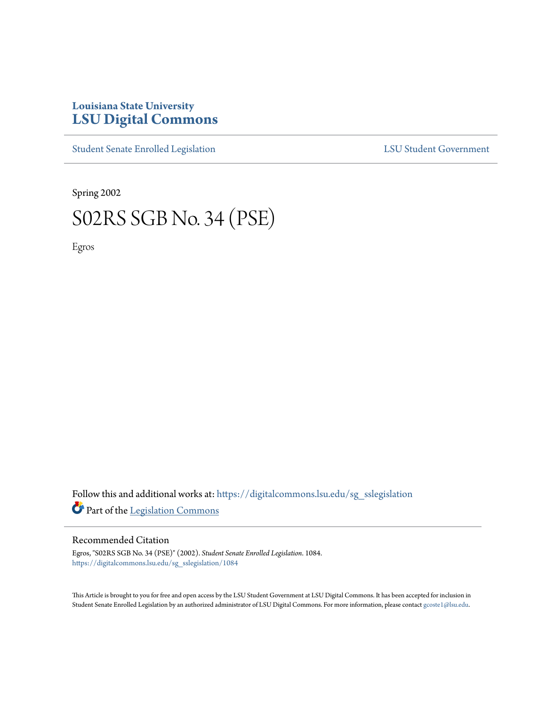## **Louisiana State University [LSU Digital Commons](https://digitalcommons.lsu.edu?utm_source=digitalcommons.lsu.edu%2Fsg_sslegislation%2F1084&utm_medium=PDF&utm_campaign=PDFCoverPages)**

[Student Senate Enrolled Legislation](https://digitalcommons.lsu.edu/sg_sslegislation?utm_source=digitalcommons.lsu.edu%2Fsg_sslegislation%2F1084&utm_medium=PDF&utm_campaign=PDFCoverPages) [LSU Student Government](https://digitalcommons.lsu.edu/sg?utm_source=digitalcommons.lsu.edu%2Fsg_sslegislation%2F1084&utm_medium=PDF&utm_campaign=PDFCoverPages)

Spring 2002

# S02RS SGB No. 34 (PSE)

Egros

Follow this and additional works at: [https://digitalcommons.lsu.edu/sg\\_sslegislation](https://digitalcommons.lsu.edu/sg_sslegislation?utm_source=digitalcommons.lsu.edu%2Fsg_sslegislation%2F1084&utm_medium=PDF&utm_campaign=PDFCoverPages) Part of the [Legislation Commons](http://network.bepress.com/hgg/discipline/859?utm_source=digitalcommons.lsu.edu%2Fsg_sslegislation%2F1084&utm_medium=PDF&utm_campaign=PDFCoverPages)

#### Recommended Citation

Egros, "S02RS SGB No. 34 (PSE)" (2002). *Student Senate Enrolled Legislation*. 1084. [https://digitalcommons.lsu.edu/sg\\_sslegislation/1084](https://digitalcommons.lsu.edu/sg_sslegislation/1084?utm_source=digitalcommons.lsu.edu%2Fsg_sslegislation%2F1084&utm_medium=PDF&utm_campaign=PDFCoverPages)

This Article is brought to you for free and open access by the LSU Student Government at LSU Digital Commons. It has been accepted for inclusion in Student Senate Enrolled Legislation by an authorized administrator of LSU Digital Commons. For more information, please contact [gcoste1@lsu.edu.](mailto:gcoste1@lsu.edu)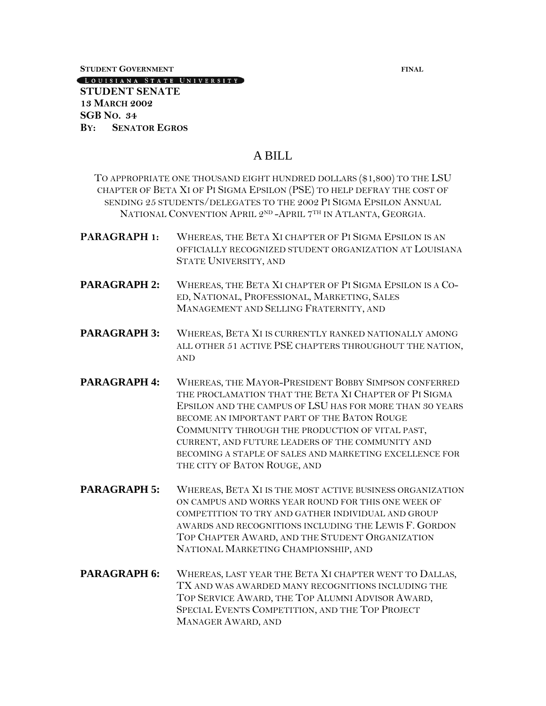**STUDENT GOVERNMENT FINAL**

[LOUISIANA STATE UNIVERSITY]

#### **STUDENT SENATE 13 MARCH 2002 SGB NO. 34 BY: SENATOR EGROS**

### A BILL

TO APPROPRIATE ONE THOUSAND EIGHT HUNDRED DOLLARS (\$1,800) TO THE LSU CHAPTER OF BETA XI OF PI SIGMA EPSILON (PSE) TO HELP DEFRAY THE COST OF SENDING 25 STUDENTS/DELEGATES TO THE 2002 PI SIGMA EPSILON ANNUAL NATIONAL CONVENTION APRIL 2ND -APRIL 7TH IN ATLANTA, GEORGIA.

- **PARAGRAPH 1:** WHEREAS, THE BETA XI CHAPTER OF PI SIGMA EPSILON IS AN OFFICIALLY RECOGNIZED STUDENT ORGANIZATION AT LOUISIANA STATE UNIVERSITY, AND
- **PARAGRAPH 2:** WHEREAS, THE BETA XI CHAPTER OF PI SIGMA EPSILON IS A CO-ED, NATIONAL, PROFESSIONAL, MARKETING, SALES MANAGEMENT AND SELLING FRATERNITY, AND
- PARAGRAPH 3: WHEREAS, BETA XI IS CURRENTLY RANKED NATIONALLY AMONG ALL OTHER 51 ACTIVE PSE CHAPTERS THROUGHOUT THE NATION, AND
- PARAGRAPH 4: WHEREAS, THE MAYOR-PRESIDENT BOBBY SIMPSON CONFERRED THE PROCLAMATION THAT THE BETA XI CHAPTER OF PI SIGMA EPSILON AND THE CAMPUS OF LSU HAS FOR MORE THAN 30 YEARS BECOME AN IMPORTANT PART OF THE BATON ROUGE COMMUNITY THROUGH THE PRODUCTION OF VITAL PAST, CURRENT, AND FUTURE LEADERS OF THE COMMUNITY AND BECOMING A STAPLE OF SALES AND MARKETING EXCELLENCE FOR THE CITY OF BATON ROUGE, AND
- PARAGRAPH 5: WHEREAS, BETA XI IS THE MOST ACTIVE BUSINESS ORGANIZATION ON CAMPUS AND WORKS YEAR ROUND FOR THIS ONE WEEK OF COMPETITION TO TRY AND GATHER INDIVIDUAL AND GROUP AWARDS AND RECOGNITIONS INCLUDING THE LEWIS F. GORDON TOP CHAPTER AWARD, AND THE STUDENT ORGANIZATION NATIONAL MARKETING CHAMPIONSHIP, AND
- PARAGRAPH 6: WHEREAS, LAST YEAR THE BETA XI CHAPTER WENT TO DALLAS, TX AND WAS AWARDED MANY RECOGNITIONS INCLUDING THE TOP SERVICE AWARD, THE TOP ALUMNI ADVISOR AWARD, SPECIAL EVENTS COMPETITION, AND THE TOP PROJECT MANAGER AWARD, AND